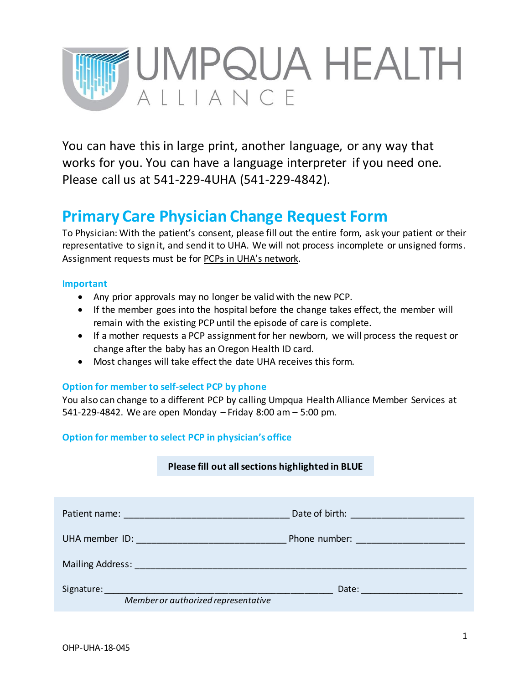

You can have this in large print, another language, or any way that works for you. You can have a language interpreter if you need one. Please call us at 541-229-4UHA (541-229-4842).

## **Primary Care Physician Change Request Form**

To Physician: With the patient's consent, please fill out the entire form, ask your patient or their representative to sign it, and send it to UHA. We will not process incomplete or unsigned forms. Assignment requests must be for PCPs in UHA's network.

#### **Important**

- Any prior approvals may no longer be valid with the new PCP.
- If the member goes into the hospital before the change takes effect, the member will remain with the existing PCP until the episode of care is complete.
- If a mother requests a PCP assignment for her newborn, we will process the request or change after the baby has an Oregon Health ID card.
- Most changes will take effect the date UHA receives this form.

#### **Option for member to self-select PCP by phone**

You also can change to a different PCP by calling Umpqua Health Alliance Member Services at 541-229-4842. We are open Monday – Friday 8:00 am – 5:00 pm.

#### **Option for member to select PCP in physician's office**

#### **Please fill out all sections highlighted in BLUE**

| Patient name: Notified that the series of the series of the series of the series of the series of the series of the series of the series of the series of the series of the series of the series of the series of the series o       | Date of birth: and a state of birth:                                                                                                                                                                                           |
|--------------------------------------------------------------------------------------------------------------------------------------------------------------------------------------------------------------------------------------|--------------------------------------------------------------------------------------------------------------------------------------------------------------------------------------------------------------------------------|
| UHA member ID: <b>All and Service Contract Contract Contract Contract Contract Contract Contract Contract Contract Contract Contract Contract Contract Contract Contract Contract Contract Contract Contract Contract Contract C</b> | Phone number: and the contract of the contract of the contract of the contract of the contract of the contract of the contract of the contract of the contract of the contract of the contract of the contract of the contract |
|                                                                                                                                                                                                                                      |                                                                                                                                                                                                                                |
|                                                                                                                                                                                                                                      | Date: <u>________________</u> ____                                                                                                                                                                                             |
| Member or authorized representative                                                                                                                                                                                                  |                                                                                                                                                                                                                                |